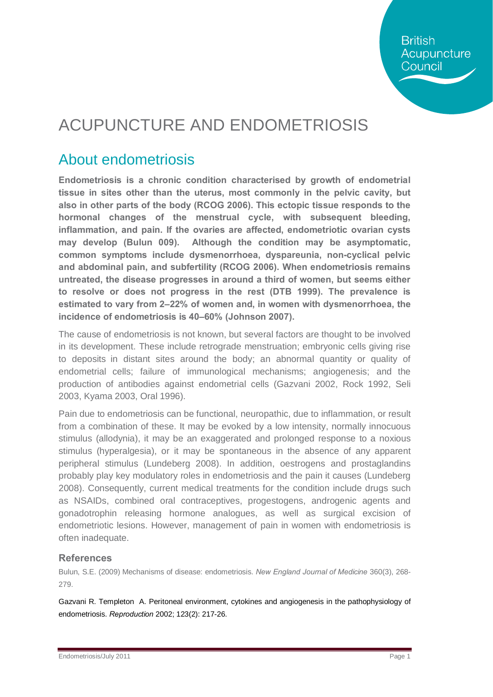## ACUPUNCTURE AND ENDOMETRIOSIS

### About endometriosis

**Endometriosis is a chronic condition characterised by growth of endometrial tissue in sites other than the uterus, most commonly in the pelvic cavity, but also in other parts of the body (RCOG 2006). This ectopic tissue responds to the hormonal changes of the menstrual cycle, with subsequent bleeding, inflammation, and pain. If the ovaries are affected, endometriotic ovarian cysts may develop (Bulun 009). Although the condition may be asymptomatic, common symptoms include dysmenorrhoea, dyspareunia, non-cyclical pelvic and abdominal pain, and subfertility (RCOG 2006). When endometriosis remains untreated, the disease progresses in around a third of women, but seems either to resolve or does not progress in the rest (DTB 1999). The prevalence is estimated to vary from 2–22% of women and, in women with dysmenorrhoea, the incidence of endometriosis is 40–60% (Johnson 2007).**

The cause of endometriosis is not known, but several factors are thought to be involved in its development. These include retrograde menstruation; embryonic cells giving rise to deposits in distant sites around the body; an abnormal quantity or quality of endometrial cells; failure of immunological mechanisms; angiogenesis; and the production of antibodies against endometrial cells (Gazvani 2002, Rock 1992, Seli 2003, Kyama 2003, Oral 1996).

Pain due to endometriosis can be functional, neuropathic, due to inflammation, or result from a combination of these. It may be evoked by a low intensity, normally innocuous stimulus (allodynia), it may be an exaggerated and prolonged response to a noxious stimulus (hyperalgesia), or it may be spontaneous in the absence of any apparent peripheral stimulus (Lundeberg 2008). In addition, oestrogens and prostaglandins probably play key modulatory roles in endometriosis and the pain it causes (Lundeberg 2008). Consequently, current medical treatments for the condition include drugs such as NSAIDs, combined oral contraceptives, progestogens, androgenic agents and gonadotrophin releasing hormone analogues, as well as surgical excision of endometriotic lesions. However, management of pain in women with endometriosis is often inadequate.

#### **References**

Bulun, S.E. (2009) Mechanisms of disease: endometriosis. *New England Journal of Medicine* 360(3), 268- 279.

Gazvani R. Templeton A. Peritoneal environment, cytokines and angiogenesis in the pathophysiology of endometriosis. *Reproduction* 2002; 123(2): 217-26.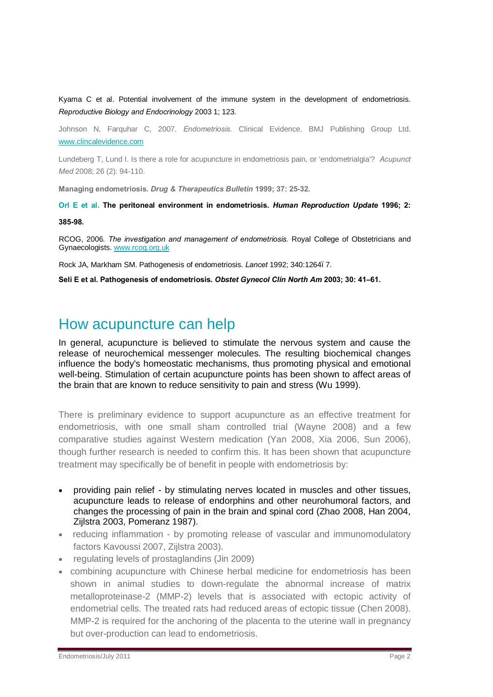Kyama C et al. Potential involvement of the immune system in the development of endometriosis. *Reproductive Biology and Endocrinology* 2003 1; 123.

Johnson N, Farquhar C, 2007. *Endometriosis.* Clinical Evidence. BMJ Publishing Group Ltd. [www.clincalevidence.com](http://www.clincalevidence.com/)

Lundeberg T, Lund I. Is there a role for acupuncture in endometriosis pain, or 'endometrialgia'? *Acupunct Med* 2008; 26 (2): 94-110.

**Managing endometriosis.** *Drug & Therapeutics Bulletin* **1999; 37: 25-32.**

**Orl E et al. The peritoneal environment in endometriosis.** *Human Reproduction Update* **1996; 2: 385-98.** 

RCOG, 2006. *The investigation and management of endometriosis.* Royal College of Obstetricians and Gynaecologists. [www.rcog.org.uk](http://www.rcog.org.uk/)

Rock JA, Markham SM. Pathogenesis of endometriosis. *Lancet* 1992; 340:1264–7.

**Seli E et al. Pathogenesis of endometriosis.** *Obstet Gynecol Clin North Am* **2003; 30: 41–61.** 

#### How acupuncture can help

In general, acupuncture is believed to stimulate the nervous system and cause the release of neurochemical messenger molecules. The resulting biochemical changes influence the body's homeostatic mechanisms, thus promoting physical and emotional well-being. Stimulation of certain acupuncture points has been shown to affect areas of the brain that are known to reduce sensitivity to pain and stress (Wu 1999).

There is preliminary evidence to support acupuncture as an effective treatment for endometriosis, with one small sham controlled trial (Wayne 2008) and a few comparative studies against Western medication (Yan 2008, Xia 2006, Sun 2006), though further research is needed to confirm this. It has been shown that acupuncture treatment may specifically be of benefit in people with endometriosis by:

- · providing pain relief by stimulating nerves located in muscles and other tissues, acupuncture leads to release of endorphins and other neurohumoral factors, and changes the processing of pain in the brain and spinal cord (Zhao 2008, Han 2004, Zijlstra 2003, Pomeranz 1987).
- · reducing inflammation by promoting release of vascular and immunomodulatory factors Kavoussi 2007, Zijlstra 2003).
- · regulating levels of prostaglandins (Jin 2009)
- · combining acupuncture with Chinese herbal medicine for endometriosis has been shown in animal studies to down-regulate the abnormal increase of matrix metalloproteinase-2 (MMP-2) levels that is associated with ectopic activity of endometrial cells. The treated rats had reduced areas of ectopic tissue (Chen 2008). MMP-2 is required for the anchoring of the placenta to the uterine wall in pregnancy but over-production can lead to endometriosis.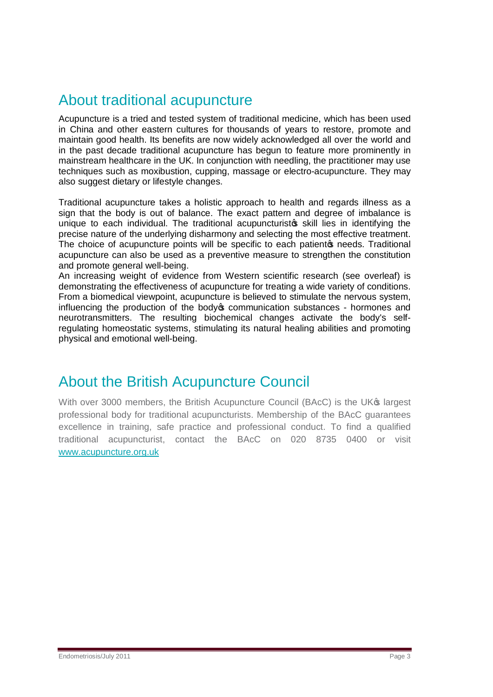### About traditional acupuncture

Acupuncture is a tried and tested system of traditional medicine, which has been used in China and other eastern cultures for thousands of years to restore, promote and maintain good health. Its benefits are now widely acknowledged all over the world and in the past decade traditional acupuncture has begun to feature more prominently in mainstream healthcare in the UK. In conjunction with needling, the practitioner may use techniques such as moxibustion, cupping, massage or electro-acupuncture. They may also suggest dietary or lifestyle changes.

Traditional acupuncture takes a holistic approach to health and regards illness as a sign that the body is out of balance. The exact pattern and degree of imbalance is unique to each individual. The traditional acupuncturistos skill lies in identifying the precise nature of the underlying disharmony and selecting the most effective treatment. The choice of acupuncture points will be specific to each patient of needs. Traditional acupuncture can also be used as a preventive measure to strengthen the constitution and promote general well-being.

An increasing weight of evidence from Western scientific research (see overleaf) is demonstrating the effectiveness of acupuncture for treating a wide variety of conditions. From a biomedical viewpoint, acupuncture is believed to stimulate the nervous system, influencing the production of the body to communication substances - hormones and neurotransmitters. The resulting biochemical changes activate the body's selfregulating homeostatic systems, stimulating its natural healing abilities and promoting physical and emotional well-being.

#### About the British Acupuncture Council

With over 3000 members, the British Acupuncture Council (BAcC) is the UK<sup>®</sup> largest professional body for traditional acupuncturists. Membership of the BAcC guarantees excellence in training, safe practice and professional conduct. To find a qualified traditional acupuncturist, contact the BAcC on 020 8735 0400 or visit [www.acupuncture.org.uk](http://www.acupuncture.org.uk/)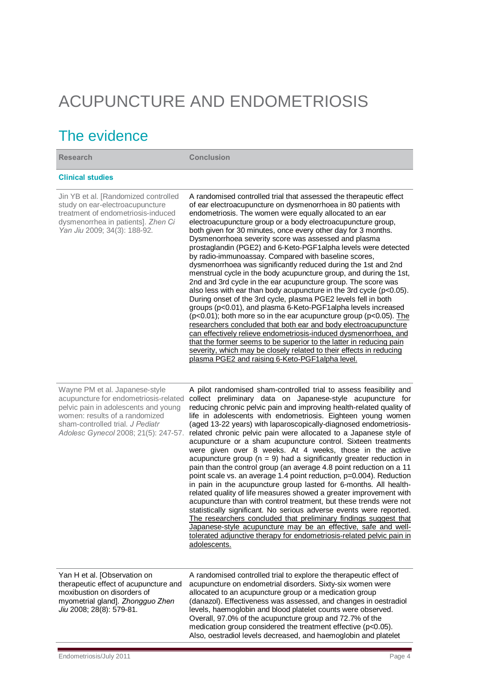# ACUPUNCTURE AND ENDOMETRIOSIS

## The evidence

| <b>Research</b>                                                                                                                                                                                                               | <b>Conclusion</b>                                                                                                                                                                                                                                                                                                                                                                                                                                                                                                                                                                                                                                                                                                                                                                                                                                                                                                                                                                                                                                                                                                                                                                                                                                                                                                                                              |
|-------------------------------------------------------------------------------------------------------------------------------------------------------------------------------------------------------------------------------|----------------------------------------------------------------------------------------------------------------------------------------------------------------------------------------------------------------------------------------------------------------------------------------------------------------------------------------------------------------------------------------------------------------------------------------------------------------------------------------------------------------------------------------------------------------------------------------------------------------------------------------------------------------------------------------------------------------------------------------------------------------------------------------------------------------------------------------------------------------------------------------------------------------------------------------------------------------------------------------------------------------------------------------------------------------------------------------------------------------------------------------------------------------------------------------------------------------------------------------------------------------------------------------------------------------------------------------------------------------|
| <b>Clinical studies</b>                                                                                                                                                                                                       |                                                                                                                                                                                                                                                                                                                                                                                                                                                                                                                                                                                                                                                                                                                                                                                                                                                                                                                                                                                                                                                                                                                                                                                                                                                                                                                                                                |
| Jin YB et al. [Randomized controlled<br>study on ear-electroacupuncture<br>treatment of endometriosis-induced<br>dysmenorrhea in patients]. Zhen Ci<br>Yan Jiu 2009; 34(3): 188-92.                                           | A randomised controlled trial that assessed the therapeutic effect<br>of ear electroacupuncture on dysmenorrhoea in 80 patients with<br>endometriosis. The women were equally allocated to an ear<br>electroacupuncture group or a body electroacupuncture group,<br>both given for 30 minutes, once every other day for 3 months.<br>Dysmenorrhoea severity score was assessed and plasma<br>prostaglandin (PGE2) and 6-Keto-PGF1alpha levels were detected<br>by radio-immunoassay. Compared with baseline scores,<br>dysmenorrhoea was significantly reduced during the 1st and 2nd<br>menstrual cycle in the body acupuncture group, and during the 1st,<br>2nd and 3rd cycle in the ear acupuncture group. The score was<br>also less with ear than body acupuncture in the 3rd cycle (p<0.05).<br>During onset of the 3rd cycle, plasma PGE2 levels fell in both<br>groups (p<0.01), and plasma 6-Keto-PGF1 alpha levels increased<br>( $p<0.01$ ); both more so in the ear acupuncture group ( $p<0.05$ ). The<br>researchers concluded that both ear and body electroacupuncture<br>can effectively relieve endometriosis-induced dysmenorrhoea, and<br>that the former seems to be superior to the latter in reducing pain<br>severity, which may be closely related to their effects in reducing<br>plasma PGE2 and raising 6-Keto-PGF1 alpha level. |
| Wayne PM et al. Japanese-style<br>acupuncture for endometriosis-related<br>pelvic pain in adolescents and young<br>women: results of a randomized<br>sham-controlled trial. J Pediatr<br>Adolesc Gynecol 2008; 21(5): 247-57. | A pilot randomised sham-controlled trial to assess feasibility and<br>collect preliminary data on Japanese-style acupuncture for<br>reducing chronic pelvic pain and improving health-related quality of<br>life in adolescents with endometriosis. Eighteen young women<br>(aged 13-22 years) with laparoscopically-diagnosed endometriosis-<br>related chronic pelvic pain were allocated to a Japanese style of<br>acupuncture or a sham acupuncture control. Sixteen treatments<br>were given over 8 weeks. At 4 weeks, those in the active<br>acupuncture group ( $n = 9$ ) had a significantly greater reduction in                                                                                                                                                                                                                                                                                                                                                                                                                                                                                                                                                                                                                                                                                                                                      |

pain than the control group (an average 4.8 point reduction on a 11 point scale vs. an average 1.4 point reduction, p=0.004). Reduction in pain in the acupuncture group lasted for 6-months. All healthrelated quality of life measures showed a greater improvement with acupuncture than with control treatment, but these trends were not statistically significant. No serious adverse events were reported. The researchers concluded that preliminary findings suggest that Japanese-style acupuncture may be an effective, safe and welltolerated adjunctive therapy for endometriosis-related pelvic pain in adolescents.

A randomised controlled trial to explore the therapeutic effect of acupuncture on endometrial disorders. Sixty-six women were allocated to an acupuncture group or a medication group (danazol). Effectiveness was assessed, and changes in oestradiol levels, haemoglobin and blood platelet counts were observed. Overall, 97.0% of the acupuncture group and 72.7% of the medication group considered the treatment effective (p<0.05). Also, oestradiol levels decreased, and haemoglobin and platelet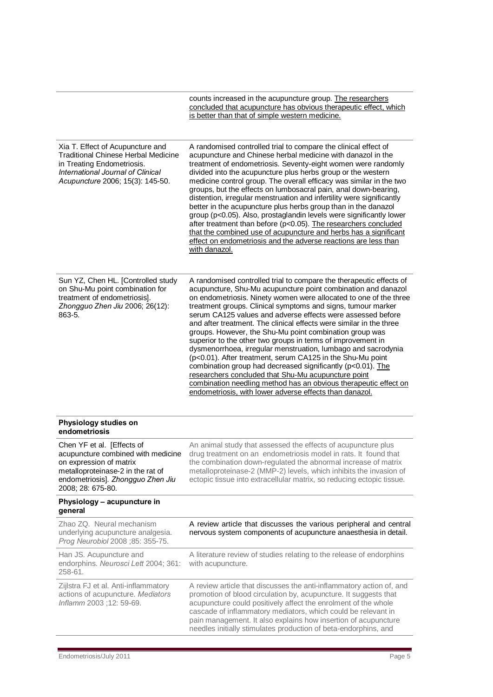|                                                                                                                                                                                            | counts increased in the acupuncture group. The researchers<br>concluded that acupuncture has obvious therapeutic effect, which<br>is better than that of simple western medicine.                                                                                                                                                                                                                                                                                                                                                                                                                                                                                                                                                                                                                                                                                                                                             |
|--------------------------------------------------------------------------------------------------------------------------------------------------------------------------------------------|-------------------------------------------------------------------------------------------------------------------------------------------------------------------------------------------------------------------------------------------------------------------------------------------------------------------------------------------------------------------------------------------------------------------------------------------------------------------------------------------------------------------------------------------------------------------------------------------------------------------------------------------------------------------------------------------------------------------------------------------------------------------------------------------------------------------------------------------------------------------------------------------------------------------------------|
| Xia T. Effect of Acupuncture and<br><b>Traditional Chinese Herbal Medicine</b><br>in Treating Endometriosis.<br>International Journal of Clinical<br>Acupuncture 2006; 15(3): 145-50.      | A randomised controlled trial to compare the clinical effect of<br>acupuncture and Chinese herbal medicine with danazol in the<br>treatment of endometriosis. Seventy-eight women were randomly<br>divided into the acupuncture plus herbs group or the western<br>medicine control group. The overall efficacy was similar in the two<br>groups, but the effects on lumbosacral pain, anal down-bearing,<br>distention, irregular menstruation and infertility were significantly<br>better in the acupuncture plus herbs group than in the danazol<br>group (p<0.05). Also, prostaglandin levels were significantly lower<br>after treatment than before (p<0.05). The researchers concluded<br>that the combined use of acupuncture and herbs has a significant<br>effect on endometriosis and the adverse reactions are less than<br>with danazol.                                                                        |
| Sun YZ, Chen HL. [Controlled study<br>on Shu-Mu point combination for<br>treatment of endometriosis].<br>Zhongguo Zhen Jiu 2006; 26(12):<br>863-5.                                         | A randomised controlled trial to compare the therapeutic effects of<br>acupuncture, Shu-Mu acupuncture point combination and danazol<br>on endometriosis. Ninety women were allocated to one of the three<br>treatment groups. Clinical symptoms and signs, tumour marker<br>serum CA125 values and adverse effects were assessed before<br>and after treatment. The clinical effects were similar in the three<br>groups. However, the Shu-Mu point combination group was<br>superior to the other two groups in terms of improvement in<br>dysmenorrhoea, irregular menstruation, lumbago and sacrodynia<br>(p<0.01). After treatment, serum CA125 in the Shu-Mu point<br>combination group had decreased significantly (p<0.01). The<br>researchers concluded that Shu-Mu acupuncture point<br>combination needling method has an obvious therapeutic effect on<br>endometriosis, with lower adverse effects than danazol. |
| Physiology studies on<br>endometriosis                                                                                                                                                     |                                                                                                                                                                                                                                                                                                                                                                                                                                                                                                                                                                                                                                                                                                                                                                                                                                                                                                                               |
| Chen YF et al. [Effects of<br>acupuncture combined with medicine<br>on expression of matrix<br>metalloproteinase-2 in the rat of<br>endometriosis]. Zhongguo Zhen Jiu<br>2008; 28: 675-80. | An animal study that assessed the effects of acupuncture plus<br>drug treatment on an endometriosis model in rats. It found that<br>the combination down-regulated the abnormal increase of matrix<br>metalloproteinase-2 (MMP-2) levels, which inhibits the invasion of<br>ectopic tissue into extracellular matrix, so reducing ectopic tissue.                                                                                                                                                                                                                                                                                                                                                                                                                                                                                                                                                                             |
| Physiology - acupuncture in<br>general                                                                                                                                                     |                                                                                                                                                                                                                                                                                                                                                                                                                                                                                                                                                                                                                                                                                                                                                                                                                                                                                                                               |
| Zhao ZQ. Neural mechanism<br>underlying acupuncture analgesia.<br>Prog Neurobiol 2008 ;85: 355-75.                                                                                         | A review article that discusses the various peripheral and central<br>nervous system components of acupuncture anaesthesia in detail.                                                                                                                                                                                                                                                                                                                                                                                                                                                                                                                                                                                                                                                                                                                                                                                         |
| Han JS. Acupuncture and<br>endorphins. Neurosci Lett 2004; 361:<br>258-61.                                                                                                                 | A literature review of studies relating to the release of endorphins<br>with acupuncture.                                                                                                                                                                                                                                                                                                                                                                                                                                                                                                                                                                                                                                                                                                                                                                                                                                     |
| Zijlstra FJ et al. Anti-inflammatory<br>actions of acupuncture. Mediators<br>Inflamm 2003; 12: 59-69.                                                                                      | A review article that discusses the anti-inflammatory action of, and<br>promotion of blood circulation by, acupuncture. It suggests that<br>acupuncture could positively affect the enrolment of the whole<br>cascade of inflammatory mediators, which could be relevant in<br>pain management. It also explains how insertion of acupuncture<br>needles initially stimulates production of beta-endorphins, and                                                                                                                                                                                                                                                                                                                                                                                                                                                                                                              |